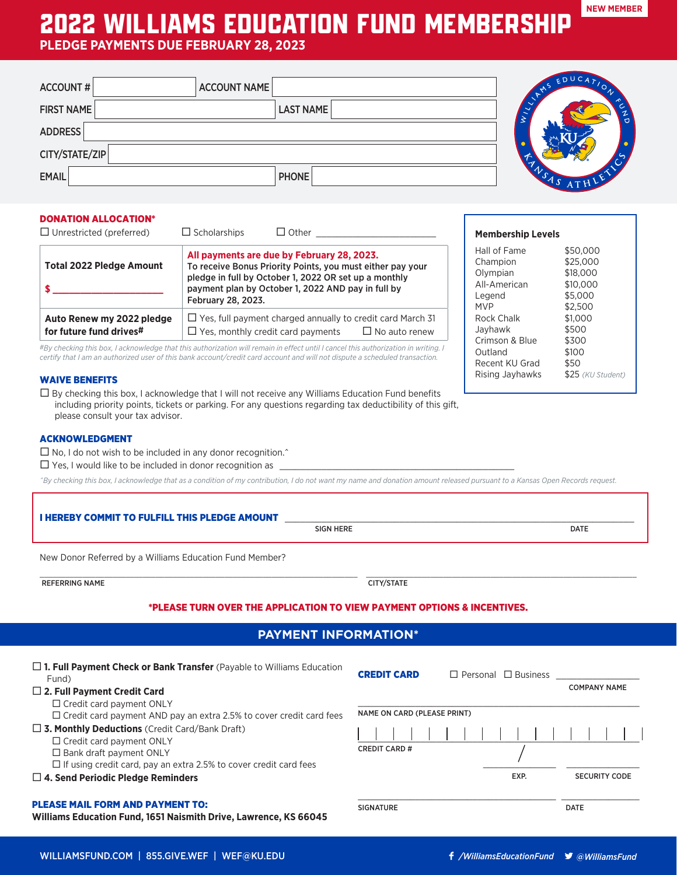# 2022 WILLIAMS EDUCATION FUND MEMBERSHIP

**PLEDGE PAYMENTS DUE FEBRUARY 28, 2023**

| <b>ACCOUNT NAME</b><br><b>ACCOUNT#</b> |                  | EDUCA |
|----------------------------------------|------------------|-------|
| <b>FIRST NAME</b>                      | <b>LAST NAME</b> | ⌒     |
| ADDRESS                                |                  |       |
| CITY/STATE/ZIP                         |                  |       |
| <b>EMAIL</b>                           | <b>PHONE</b>     |       |

# DONATION ALLOCATION\*

| $\Box$ Unrestricted (preferred)                      | $\Box$ Scholarships<br>$\Box$ Other                                                                                                                                                                                                           |  |
|------------------------------------------------------|-----------------------------------------------------------------------------------------------------------------------------------------------------------------------------------------------------------------------------------------------|--|
| <b>Total 2022 Pledge Amount</b>                      | All payments are due by February 28, 2023.<br>To receive Bonus Priority Points, you must either pay your<br>pledge in full by October 1, 2022 OR set up a monthly<br>payment plan by October 1, 2022 AND pay in full by<br>February 28, 2023. |  |
| Auto Renew my 2022 pledge<br>for future fund drives# | $\Box$ Yes, full payment charged annually to credit card March 31<br>$\Box$ Yes. monthly credit card payments<br>$\Box$ No auto renew                                                                                                         |  |

*#By checking this box, I acknowledge that this authorization will remain in effect until I cancel this authorization in writing. I certify that I am an authorized user of this bank account/credit card account and will not dispute a scheduled transaction.*

### WAIVE BENEFITS

 $\square$  By checking this box, I acknowledge that I will not receive any Williams Education Fund benefits including priority points, tickets or parking. For any questions regarding tax deductibility of this gift, please consult your tax advisor.

# ACKNOWLEDGMENT

 $\square$  No, I do not wish to be included in any donor recognition. $\hat{ }$ 

 $\square$  Yes, I would like to be included in donor recognition as

*^By checking this box, I acknowledge that as a condition of my contribution, I do not want my name and donation amount released pursuant to a Kansas Open Records request.*

| <b>I HEREBY COMMIT TO FULFILL THIS PLEDGE AMOUNT</b><br>SIGN HERE                     |                    |                                 | <b>DATE</b>         |
|---------------------------------------------------------------------------------------|--------------------|---------------------------------|---------------------|
| New Donor Referred by a Williams Education Fund Member?                               |                    |                                 |                     |
| <b>REFERRING NAME</b>                                                                 | CITY/STATE         |                                 |                     |
| *PLEASE TURN OVER THE APPLICATION TO VIEW PAYMENT OPTIONS & INCENTIVES.               |                    |                                 |                     |
| <b>PAYMENT INFORMATION*</b>                                                           |                    |                                 |                     |
| $\Box$ 1. Full Payment Check or Bank Transfer (Payable to Williams Education<br>Fund) | <b>CREDIT CARD</b> | $\Box$ Personal $\Box$ Business |                     |
| $\Box$ 2. Full Payment Credit Card<br>$\Box$ Credit card payment ONLY                 |                    |                                 | <b>COMPANY NAME</b> |

 $\square$  Credit card payment ONLY

 $\square$  Credit card payment AND pay an extra 2.5% to cover credit card fees

□ 3. Monthly Deductions (Credit Card/Bank Draft)

 $\square$  Credit card payment ONLY

 $\square$  Bank draft payment ONLY

 $\square$  If using credit card, pay an extra 2.5% to cover credit card fees

## ¨ **4. Send Periodic Pledge Reminders**

#### PLEASE MAIL FORM AND PAYMENT TO:

**Williams Education Fund, 1651 Naismith Drive, Lawrence, KS 66045**

|                                      | TANSAS ATHLEY                    |  |
|--------------------------------------|----------------------------------|--|
| <b>Membership Levels</b>             |                                  |  |
| Hall of Fame<br>Champion<br>Olympian | \$50,000<br>\$25,000<br>\$18,000 |  |
| All-American<br>Legend<br><b>MVP</b> | \$10,000<br>\$5.000<br>\$2,500   |  |
| Rock Chalk<br>Jayhawk                | \$1,000<br>\$500                 |  |

Outland \$100 Recent KU Grad \$50 Rising Jayhawks \$25 *(KU Student)*

Crimson & Blue \$300

\_\_\_\_\_\_\_\_\_\_\_\_\_\_\_\_\_\_\_\_\_\_\_\_\_\_\_\_\_\_\_\_\_\_\_\_\_\_ \_\_\_\_\_\_\_\_\_\_\_\_\_\_\_

\_\_\_\_\_\_\_\_\_\_\_\_\_\_\_\_\_\_\_\_\_\_\_\_\_\_\_\_\_\_\_\_\_\_\_\_\_\_\_\_\_\_\_\_\_\_\_\_\_\_\_\_\_\_

SIGNATURE DATE

CREDIT CARD #

NAME ON CARD (PLEASE PRINT)

\_\_\_\_\_\_\_\_\_\_\_\_\_\_ \_\_\_\_\_\_\_\_\_\_\_\_\_\_ EXP. SECURITY CODE